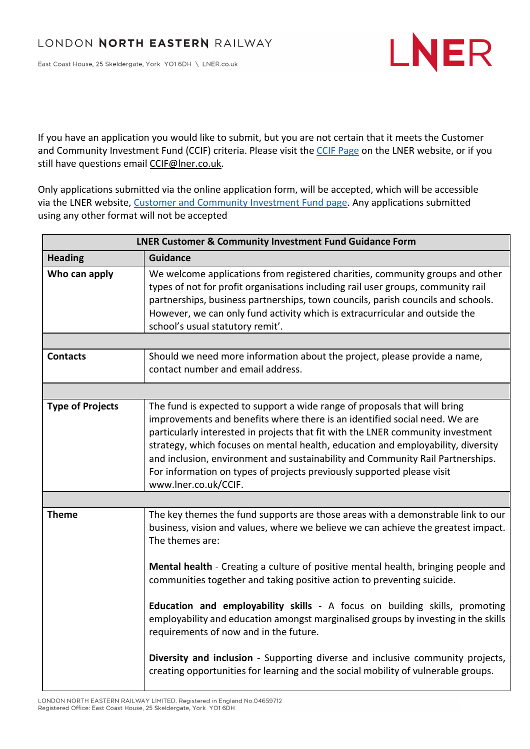East Coast House, 25 Skeldergate, York YO1 6DH \ LNER.co.uk



If you have an application you would like to submit, but you are not certain that it meets the Customer and Community Investment Fund (CCIF) criteria. Please visit the CCIF Page on the LNER website, or if you still have questions email CCIF@lner.co.uk.

Only applications submitted via the online application form, will be accepted, which will be accessible via the LNER website, Customer and Community Investment Fund page. Any applications submitted using any other format will not be accepted

| <b>LNER Customer &amp; Community Investment Fund Guidance Form</b> |                                                                                                                                                                                                                                                                                                                                                                                                                                                                                                                    |  |
|--------------------------------------------------------------------|--------------------------------------------------------------------------------------------------------------------------------------------------------------------------------------------------------------------------------------------------------------------------------------------------------------------------------------------------------------------------------------------------------------------------------------------------------------------------------------------------------------------|--|
| <b>Heading</b>                                                     | <b>Guidance</b>                                                                                                                                                                                                                                                                                                                                                                                                                                                                                                    |  |
| Who can apply                                                      | We welcome applications from registered charities, community groups and other<br>types of not for profit organisations including rail user groups, community rail<br>partnerships, business partnerships, town councils, parish councils and schools.<br>However, we can only fund activity which is extracurricular and outside the<br>school's usual statutory remit'.                                                                                                                                           |  |
|                                                                    |                                                                                                                                                                                                                                                                                                                                                                                                                                                                                                                    |  |
| <b>Contacts</b>                                                    | Should we need more information about the project, please provide a name,<br>contact number and email address.                                                                                                                                                                                                                                                                                                                                                                                                     |  |
|                                                                    |                                                                                                                                                                                                                                                                                                                                                                                                                                                                                                                    |  |
| <b>Type of Projects</b>                                            | The fund is expected to support a wide range of proposals that will bring<br>improvements and benefits where there is an identified social need. We are<br>particularly interested in projects that fit with the LNER community investment<br>strategy, which focuses on mental health, education and employability, diversity<br>and inclusion, environment and sustainability and Community Rail Partnerships.<br>For information on types of projects previously supported please visit<br>www.lner.co.uk/CCIF. |  |
|                                                                    |                                                                                                                                                                                                                                                                                                                                                                                                                                                                                                                    |  |
| <b>Theme</b>                                                       | The key themes the fund supports are those areas with a demonstrable link to our<br>business, vision and values, where we believe we can achieve the greatest impact.<br>The themes are:                                                                                                                                                                                                                                                                                                                           |  |
|                                                                    | Mental health - Creating a culture of positive mental health, bringing people and<br>communities together and taking positive action to preventing suicide.                                                                                                                                                                                                                                                                                                                                                        |  |
|                                                                    | Education and employability skills - A focus on building skills, promoting<br>employability and education amongst marginalised groups by investing in the skills<br>requirements of now and in the future.                                                                                                                                                                                                                                                                                                         |  |
|                                                                    | Diversity and inclusion - Supporting diverse and inclusive community projects,<br>creating opportunities for learning and the social mobility of vulnerable groups.                                                                                                                                                                                                                                                                                                                                                |  |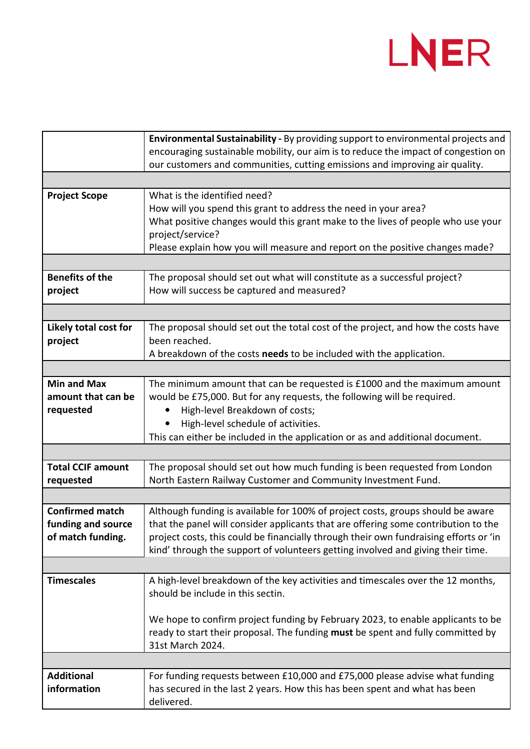

|                          | Environmental Sustainability - By providing support to environmental projects and     |
|--------------------------|---------------------------------------------------------------------------------------|
|                          | encouraging sustainable mobility, our aim is to reduce the impact of congestion on    |
|                          | our customers and communities, cutting emissions and improving air quality.           |
|                          |                                                                                       |
|                          |                                                                                       |
| <b>Project Scope</b>     | What is the identified need?                                                          |
|                          | How will you spend this grant to address the need in your area?                       |
|                          | What positive changes would this grant make to the lives of people who use your       |
|                          | project/service?                                                                      |
|                          | Please explain how you will measure and report on the positive changes made?          |
|                          |                                                                                       |
| <b>Benefits of the</b>   | The proposal should set out what will constitute as a successful project?             |
| project                  | How will success be captured and measured?                                            |
|                          |                                                                                       |
|                          |                                                                                       |
| Likely total cost for    | The proposal should set out the total cost of the project, and how the costs have     |
| project                  | been reached.                                                                         |
|                          | A breakdown of the costs needs to be included with the application.                   |
|                          |                                                                                       |
| <b>Min and Max</b>       | The minimum amount that can be requested is £1000 and the maximum amount              |
| amount that can be       | would be £75,000. But for any requests, the following will be required.               |
| requested                | High-level Breakdown of costs;                                                        |
|                          | High-level schedule of activities.                                                    |
|                          |                                                                                       |
|                          | This can either be included in the application or as and additional document.         |
|                          |                                                                                       |
| <b>Total CCIF amount</b> | The proposal should set out how much funding is been requested from London            |
| requested                | North Eastern Railway Customer and Community Investment Fund.                         |
|                          |                                                                                       |
| <b>Confirmed match</b>   | Although funding is available for 100% of project costs, groups should be aware       |
| funding and source       | that the panel will consider applicants that are offering some contribution to the    |
| of match funding.        | project costs, this could be financially through their own fundraising efforts or 'in |
|                          | kind' through the support of volunteers getting involved and giving their time.       |
|                          |                                                                                       |
| <b>Timescales</b>        | A high-level breakdown of the key activities and timescales over the 12 months,       |
|                          | should be include in this sectin.                                                     |
|                          |                                                                                       |
|                          | We hope to confirm project funding by February 2023, to enable applicants to be       |
|                          | ready to start their proposal. The funding must be spent and fully committed by       |
|                          |                                                                                       |
|                          | 31st March 2024.                                                                      |
|                          |                                                                                       |
| <b>Additional</b>        | For funding requests between £10,000 and £75,000 please advise what funding           |
| information              | has secured in the last 2 years. How this has been spent and what has been            |
|                          | delivered.                                                                            |